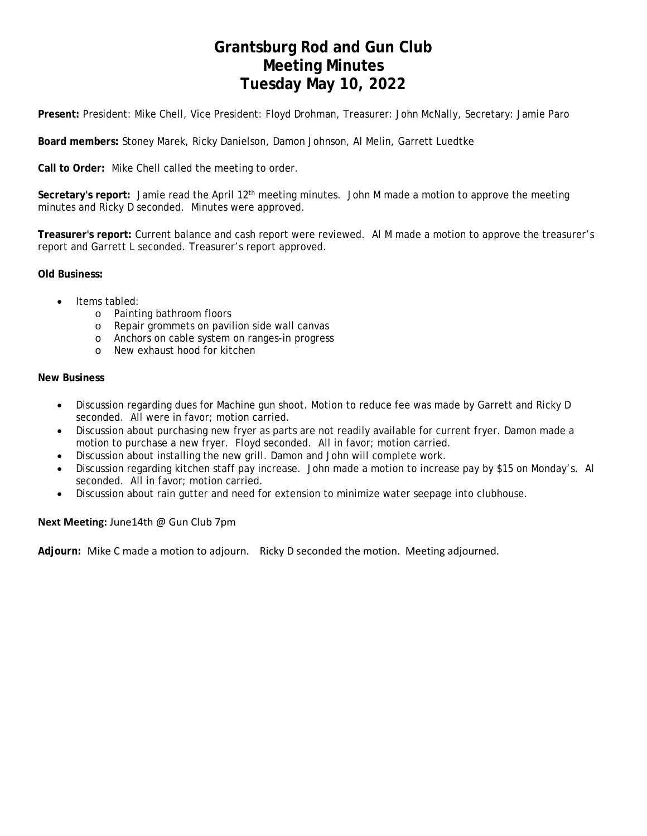# **Grantsburg Rod and Gun Club Meeting Minutes Tuesday May 10, 2022**

**Present:** President: Mike Chell, Vice President: Floyd Drohman, Treasurer: John McNally, Secretary: Jamie Paro

**Board members:** Stoney Marek, Ricky Danielson, Damon Johnson, Al Melin, Garrett Luedtke

**Call to Order:** Mike Chell called the meeting to order.

**Secretary's report:** Jamie read the April 12th meeting minutes. John M made a motion to approve the meeting minutes and Ricky D seconded. Minutes were approved.

**Treasurer's report:** Current balance and cash report were reviewed. Al M made a motion to approve the treasurer's report and Garrett L seconded. Treasurer's report approved.

**Old Business:** 

- Items tabled:
	- o Painting bathroom floors
	- o Repair grommets on pavilion side wall canvas
	- o Anchors on cable system on ranges-in progress
	- o New exhaust hood for kitchen

#### **New Business**

- Discussion regarding dues for Machine gun shoot. Motion to reduce fee was made by Garrett and Ricky D seconded. All were in favor; motion carried.
- Discussion about purchasing new fryer as parts are not readily available for current fryer. Damon made a motion to purchase a new fryer. Floyd seconded. All in favor; motion carried.
- Discussion about installing the new grill. Damon and John will complete work.
- Discussion regarding kitchen staff pay increase. John made a motion to increase pay by \$15 on Monday's. Al seconded. All in favor; motion carried.
- Discussion about rain gutter and need for extension to minimize water seepage into clubhouse.

#### **Next Meeting:** June14th @ Gun Club 7pm

**Adjourn:** Mike C made a motion to adjourn. Ricky D seconded the motion. Meeting adjourned.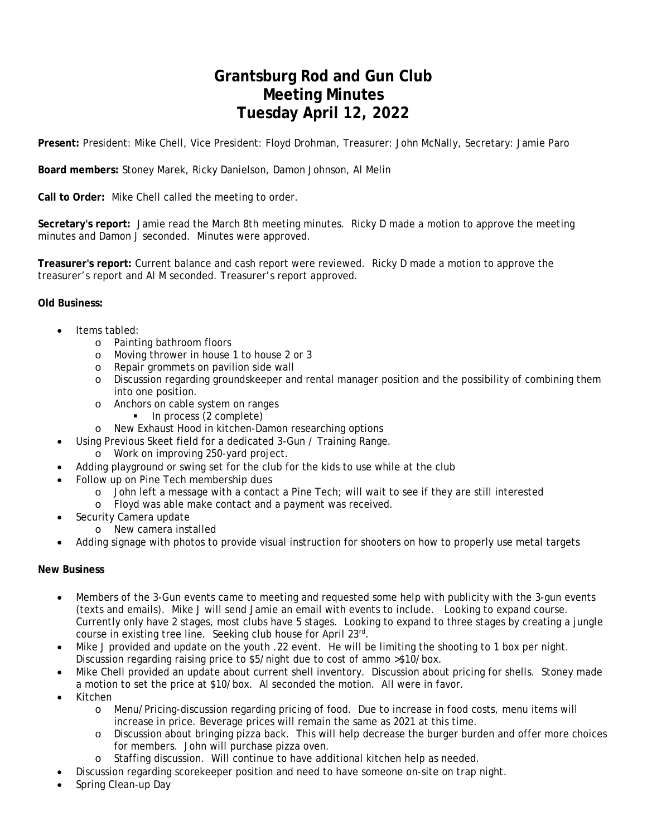# **Grantsburg Rod and Gun Club Meeting Minutes Tuesday April 12, 2022**

**Present:** President: Mike Chell, Vice President: Floyd Drohman, Treasurer: John McNally, Secretary: Jamie Paro

### **Board members:** Stoney Marek, Ricky Danielson, Damon Johnson, Al Melin

**Call to Order:** Mike Chell called the meeting to order.

**Secretary's report:** Jamie read the March 8th meeting minutes. Ricky D made a motion to approve the meeting minutes and Damon J seconded. Minutes were approved.

**Treasurer's report:** Current balance and cash report were reviewed. Ricky D made a motion to approve the treasurer's report and Al M seconded. Treasurer's report approved.

### **Old Business:**

- Items tabled:
	- o Painting bathroom floors
	- o Moving thrower in house 1 to house 2 or 3
	- o Repair grommets on pavilion side wall
	- o Discussion regarding groundskeeper and rental manager position and the possibility of combining them into one position.
	- o Anchors on cable system on ranges
		- In process (2 complete)
	- o New Exhaust Hood in kitchen-Damon researching options
- Using Previous Skeet field for a dedicated 3-Gun / Training Range.
	- o Work on improving 250-yard project.
	- Adding playground or swing set for the club for the kids to use while at the club
- Follow up on Pine Tech membership dues
	- o John left a message with a contact a Pine Tech; will wait to see if they are still interested
	- o Floyd was able make contact and a payment was received.
- Security Camera update
	- o New camera installed
- Adding signage with photos to provide visual instruction for shooters on how to properly use metal targets

### **New Business**

- Members of the 3-Gun events came to meeting and requested some help with publicity with the 3-gun events (texts and emails). Mike J will send Jamie an email with events to include. Looking to expand course. Currently only have 2 stages, most clubs have 5 stages. Looking to expand to three stages by creating a jungle course in existing tree line. Seeking club house for April 23rd.
- Mike J provided and update on the youth .22 event. He will be limiting the shooting to 1 box per night. Discussion regarding raising price to \$5/night due to cost of ammo >\$10/box.
- Mike Chell provided an update about current shell inventory. Discussion about pricing for shells. Stoney made a motion to set the price at \$10/box. Al seconded the motion. All were in favor.
- Kitchen
	- o Menu/Pricing-discussion regarding pricing of food. Due to increase in food costs, menu items will increase in price. Beverage prices will remain the same as 2021 at this time.
	- o Discussion about bringing pizza back. This will help decrease the burger burden and offer more choices for members. John will purchase pizza oven.
	- o Staffing discussion. Will continue to have additional kitchen help as needed.
- Discussion regarding scorekeeper position and need to have someone on-site on trap night.
- Spring Clean-up Day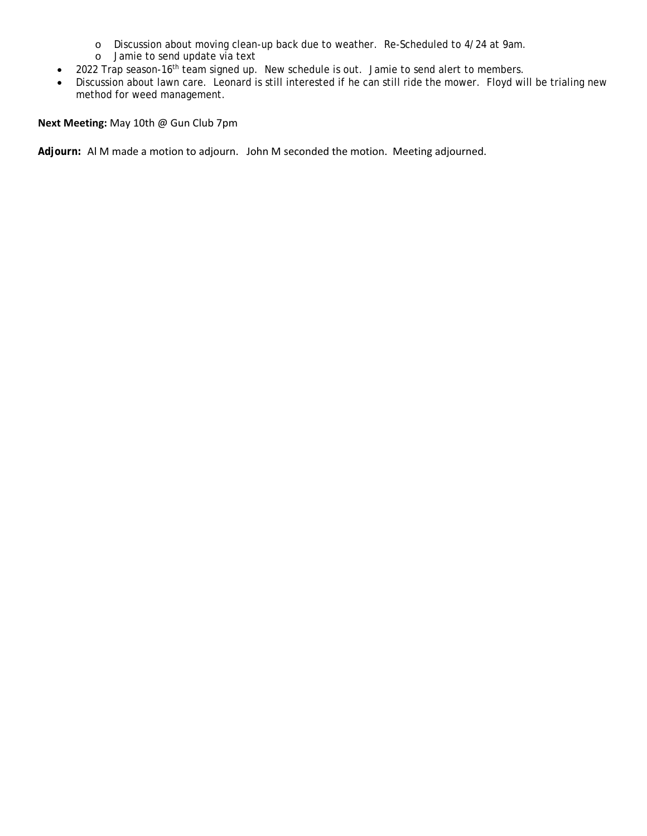- o Discussion about moving clean-up back due to weather. Re-Scheduled to 4/24 at 9am.
- o Jamie to send update via text
- 2022 Trap season-16<sup>th</sup> team signed up. New schedule is out. Jamie to send alert to members.
- Discussion about lawn care. Leonard is still interested if he can still ride the mower. Floyd will be trialing new method for weed management.

**Next Meeting:** May 10th @ Gun Club 7pm

**Adjourn:** Al M made a motion to adjourn. John M seconded the motion. Meeting adjourned.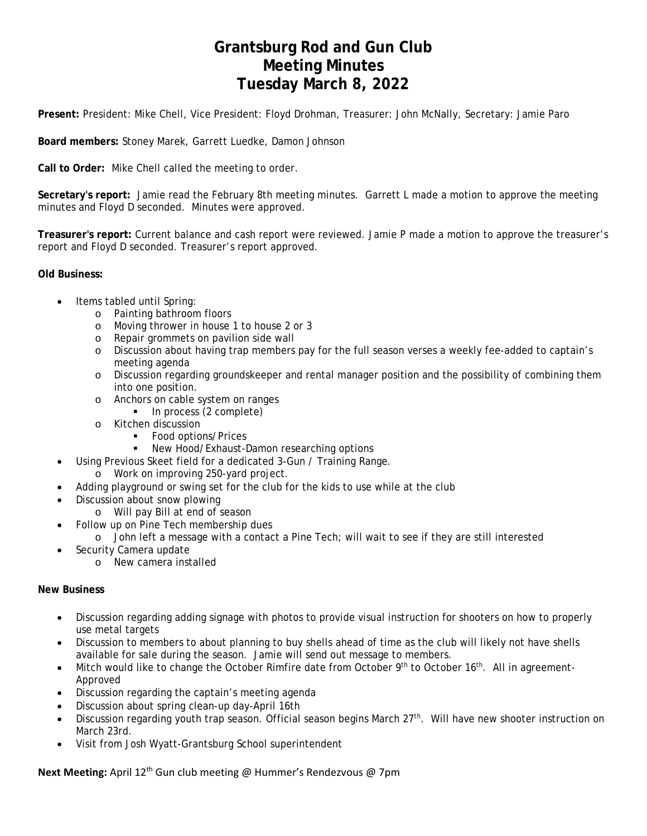# **Grantsburg Rod and Gun Club Meeting Minutes Tuesday March 8, 2022**

**Present:** President: Mike Chell, Vice President: Floyd Drohman, Treasurer: John McNally, Secretary: Jamie Paro

**Board members:** Stoney Marek, Garrett Luedke, Damon Johnson

**Call to Order:** Mike Chell called the meeting to order.

**Secretary's report:** Jamie read the February 8th meeting minutes. Garrett L made a motion to approve the meeting minutes and Floyd D seconded. Minutes were approved.

**Treasurer's report:** Current balance and cash report were reviewed. Jamie P made a motion to approve the treasurer's report and Floyd D seconded. Treasurer's report approved.

**Old Business:** 

- Items tabled until Spring:
	- o Painting bathroom floors
	- o Moving thrower in house 1 to house 2 or 3
	- o Repair grommets on pavilion side wall
	- o Discussion about having trap members pay for the full season verses a weekly fee-added to captain's meeting agenda
	- o Discussion regarding groundskeeper and rental manager position and the possibility of combining them into one position.
	- o Anchors on cable system on ranges
		- $\blacksquare$  In process (2 complete)
	- o Kitchen discussion
		- **Food options/Prices**
		- New Hood/Exhaust-Damon researching options
- Using Previous Skeet field for a dedicated 3-Gun / Training Range.
	- o Work on improving 250-yard project.
- Adding playground or swing set for the club for the kids to use while at the club
- Discussion about snow plowing
	- o Will pay Bill at end of season
- Follow up on Pine Tech membership dues
	- o John left a message with a contact a Pine Tech; will wait to see if they are still interested
- Security Camera update
	- o New camera installed

#### **New Business**

- Discussion regarding adding signage with photos to provide visual instruction for shooters on how to properly use metal targets
- Discussion to members to about planning to buy shells ahead of time as the club will likely not have shells available for sale during the season. Jamie will send out message to members.
- Mitch would like to change the October Rimfire date from October 9<sup>th</sup> to October 16<sup>th</sup>. All in agreement-Approved
- Discussion regarding the captain's meeting agenda
- Discussion about spring clean-up day-April 16th
- Discussion regarding youth trap season. Official season begins March 27<sup>th</sup>. Will have new shooter instruction on March 23rd.
- Visit from Josh Wyatt-Grantsburg School superintendent

Next Meeting: April 12<sup>th</sup> Gun club meeting @ Hummer's Rendezvous @ 7pm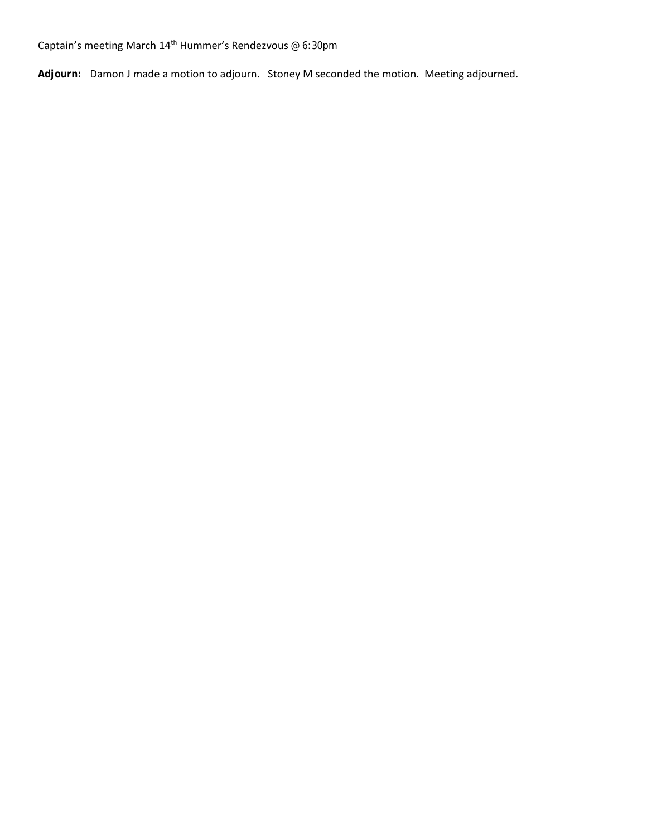Captain's meeting March  $14^{\text{th}}$  Hummer's Rendezvous @ 6:30pm

**Adjourn:** Damon J made a motion to adjourn. Stoney M seconded the motion. Meeting adjourned.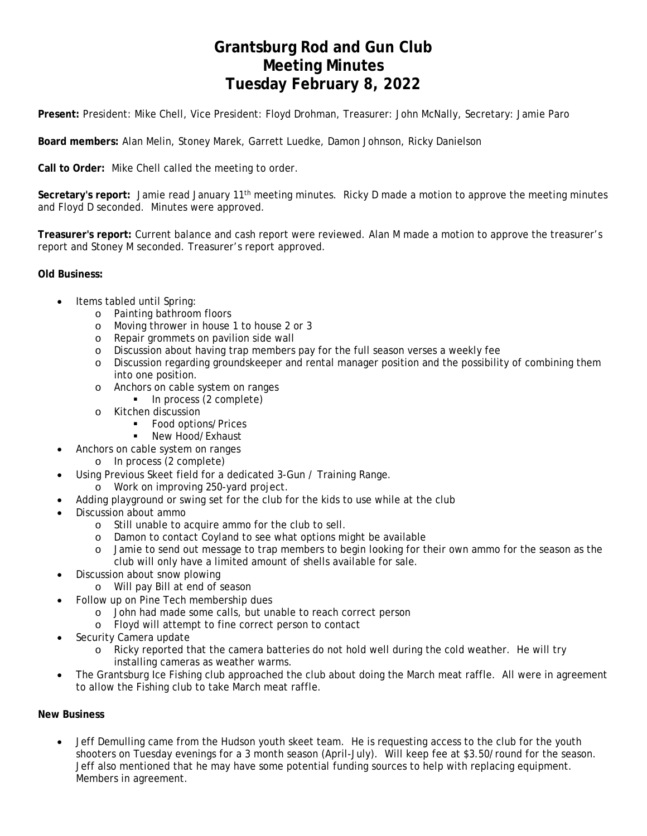# **Grantsburg Rod and Gun Club Meeting Minutes Tuesday February 8, 2022**

**Present:** President: Mike Chell, Vice President: Floyd Drohman, Treasurer: John McNally, Secretary: Jamie Paro

**Board members:** Alan Melin, Stoney Marek, Garrett Luedke, Damon Johnson, Ricky Danielson

**Call to Order:** Mike Chell called the meeting to order.

**Secretary's report:** Jamie read January 11th meeting minutes. Ricky D made a motion to approve the meeting minutes and Floyd D seconded. Minutes were approved.

**Treasurer's report:** Current balance and cash report were reviewed. Alan M made a motion to approve the treasurer's report and Stoney M seconded. Treasurer's report approved.

**Old Business:** 

- Items tabled until Spring:
	- o Painting bathroom floors
	- o Moving thrower in house 1 to house 2 or 3
	- o Repair grommets on pavilion side wall
	- o Discussion about having trap members pay for the full season verses a weekly fee
	- o Discussion regarding groundskeeper and rental manager position and the possibility of combining them into one position.
	- o Anchors on cable system on ranges
		- In process (2 complete)
	- o Kitchen discussion
		- **Food options/Prices**
		- **New Hood/Exhaust**
	- Anchors on cable system on ranges
		- o In process (2 complete)
- Using Previous Skeet field for a dedicated 3-Gun / Training Range.
	- o Work on improving 250-yard project.
- Adding playground or swing set for the club for the kids to use while at the club
- Discussion about ammo
	- o Still unable to acquire ammo for the club to sell.
	- o Damon to contact Coyland to see what options might be available
	- o Jamie to send out message to trap members to begin looking for their own ammo for the season as the club will only have a limited amount of shells available for sale.
- Discussion about snow plowing
	- o Will pay Bill at end of season
- Follow up on Pine Tech membership dues
	- o John had made some calls, but unable to reach correct person
	- o Floyd will attempt to fine correct person to contact
- Security Camera update
	- o Ricky reported that the camera batteries do not hold well during the cold weather. He will try installing cameras as weather warms.
- The Grantsburg Ice Fishing club approached the club about doing the March meat raffle. All were in agreement to allow the Fishing club to take March meat raffle.

#### **New Business**

 Jeff Demulling came from the Hudson youth skeet team. He is requesting access to the club for the youth shooters on Tuesday evenings for a 3 month season (April-July). Will keep fee at \$3.50/round for the season. Jeff also mentioned that he may have some potential funding sources to help with replacing equipment. Members in agreement.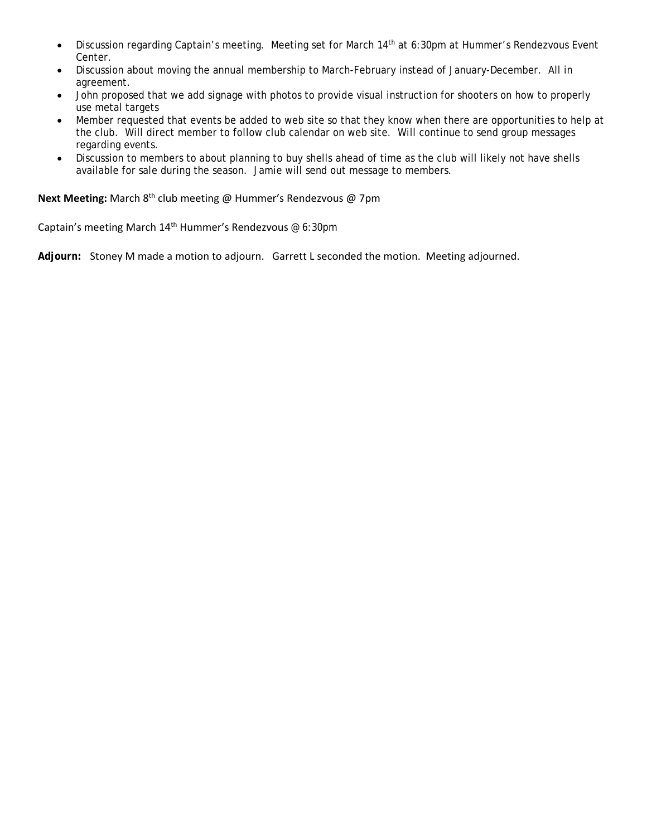- Discussion regarding Captain's meeting. Meeting set for March 14<sup>th</sup> at 6:30pm at Hummer's Rendezvous Event Center.
- Discussion about moving the annual membership to March-February instead of January-December. All in agreement.
- John proposed that we add signage with photos to provide visual instruction for shooters on how to properly use metal targets
- Member requested that events be added to web site so that they know when there are opportunities to help at the club. Will direct member to follow club calendar on web site. Will continue to send group messages regarding events.
- Discussion to members to about planning to buy shells ahead of time as the club will likely not have shells available for sale during the season. Jamie will send out message to members.

**Next Meeting:** March 8<sup>th</sup> club meeting @ Hummer's Rendezvous @ 7pm

Captain's meeting March  $14<sup>th</sup>$  Hummer's Rendezvous @ 6:30pm

**Adjourn:** Stoney M made a motion to adjourn. Garrett L seconded the motion. Meeting adjourned.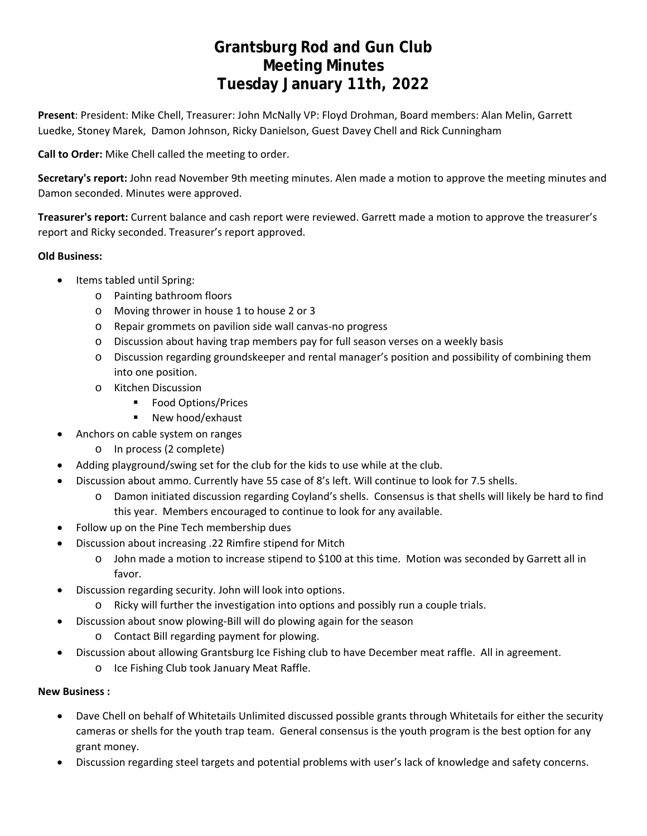# **Grantsburg Rod and Gun Club Meeting Minutes Tuesday January 11th, 2022**

**Present**: President: Mike Chell, Treasurer: John McNally VP: Floyd Drohman, Board members: Alan Melin, Garrett Luedke, Stoney Marek, Damon Johnson, Ricky Danielson, Guest Davey Chell and Rick Cunningham

**Call to Order:** Mike Chell called the meeting to order.

**Secretary's report:** John read November 9th meeting minutes. Alen made a motion to approve the meeting minutes and Damon seconded. Minutes were approved.

**Treasurer's report:** Current balance and cash report were reviewed. Garrett made a motion to approve the treasurer's report and Ricky seconded. Treasurer's report approved.

## **Old Business:**

- Items tabled until Spring:
	- o Painting bathroom floors
	- o Moving thrower in house 1 to house 2 or 3
	- o Repair grommets on pavilion side wall canvas‐no progress
	- o Discussion about having trap members pay for full season verses on a weekly basis
	- o Discussion regarding groundskeeper and rental manager's position and possibility of combining them into one position.
	- o Kitchen Discussion
		- **Food Options/Prices**
		- New hood/exhaust
- Anchors on cable system on ranges
	- o In process (2 complete)
- Adding playground/swing set for the club for the kids to use while at the club.
- Discussion about ammo. Currently have 55 case of 8's left. Will continue to look for 7.5 shells.
	- o Damon initiated discussion regarding Coyland's shells. Consensus is that shells will likely be hard to find this year. Members encouraged to continue to look for any available.
- Follow up on the Pine Tech membership dues
- Discussion about increasing .22 Rimfire stipend for Mitch
	- o John made a motion to increase stipend to \$100 at this time. Motion was seconded by Garrett all in favor.
- Discussion regarding security. John will look into options.
	- o Ricky will further the investigation into options and possibly run a couple trials.
- Discussion about snow plowing‐Bill will do plowing again for the season
	- o Contact Bill regarding payment for plowing.
- Discussion about allowing Grantsburg Ice Fishing club to have December meat raffle. All in agreement.
	- o Ice Fishing Club took January Meat Raffle.

## **New Business :**

- Dave Chell on behalf of Whitetails Unlimited discussed possible grants through Whitetails for either the security cameras or shells for the youth trap team. General consensus is the youth program is the best option for any grant money.
- Discussion regarding steel targets and potential problems with user's lack of knowledge and safety concerns.